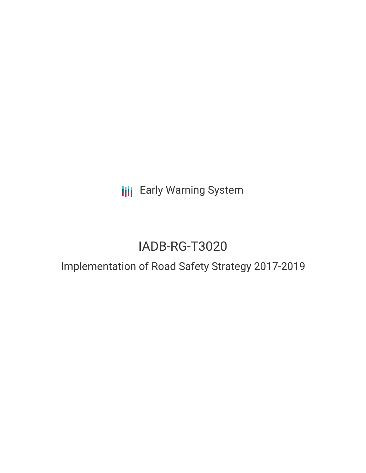**III** Early Warning System

# IADB-RG-T3020

## Implementation of Road Safety Strategy 2017-2019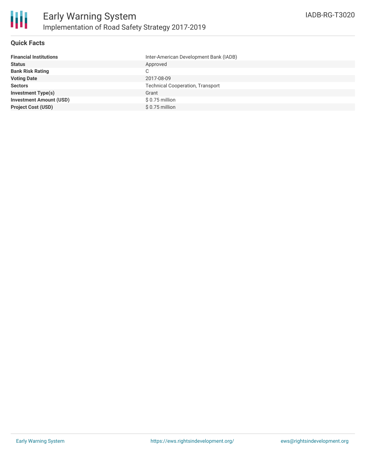#### **Quick Facts**

| Inter-American Development Bank (IADB)  |
|-----------------------------------------|
| Approved                                |
| C                                       |
| 2017-08-09                              |
| <b>Technical Cooperation, Transport</b> |
| Grant                                   |
| \$ 0.75 million                         |
| $$0.75$ million                         |
|                                         |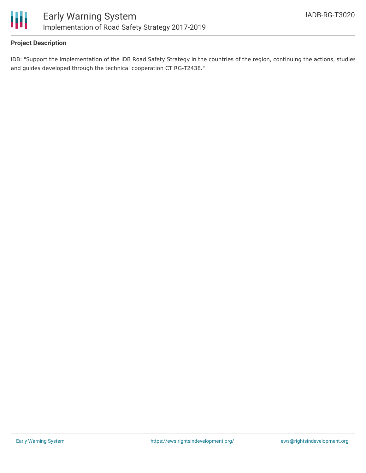

#### **Project Description**

IDB: "Support the implementation of the IDB Road Safety Strategy in the countries of the region, continuing the actions, studies and guides developed through the technical cooperation CT RG-T2438."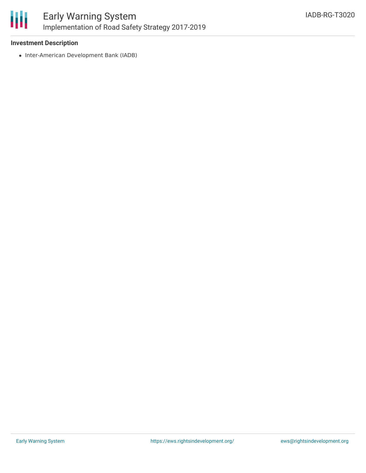

#### **Investment Description**

• Inter-American Development Bank (IADB)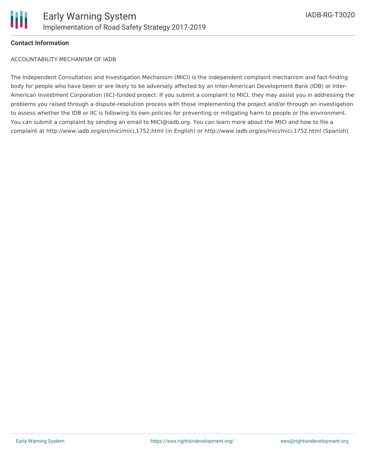

#### **Contact Information**

ACCOUNTABILITY MECHANISM OF IADB

The Independent Consultation and Investigation Mechanism (MICI) is the independent complaint mechanism and fact-finding body for people who have been or are likely to be adversely affected by an Inter-American Development Bank (IDB) or Inter-American Investment Corporation (IIC)-funded project. If you submit a complaint to MICI, they may assist you in addressing the problems you raised through a dispute-resolution process with those implementing the project and/or through an investigation to assess whether the IDB or IIC is following its own policies for preventing or mitigating harm to people or the environment. You can submit a complaint by sending an email to MICI@iadb.org. You can learn more about the MICI and how to file a complaint at http://www.iadb.org/en/mici/mici,1752.html (in English) or http://www.iadb.org/es/mici/mici,1752.html (Spanish).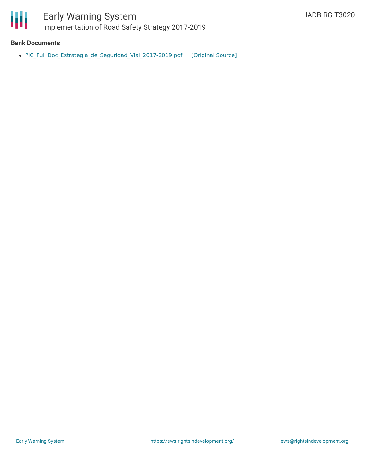

#### **Bank Documents**

• PIC\_Full [Doc\\_Estrategia\\_de\\_Seguridad\\_Vial\\_2017-2019.pdf](https://ewsdata.rightsindevelopment.org/files/documents/20/IADB-RG-T3020.pdf) [\[Original](http://www.iadb.org/Document.cfm?id=EZSHARE-95449685-9) Source]